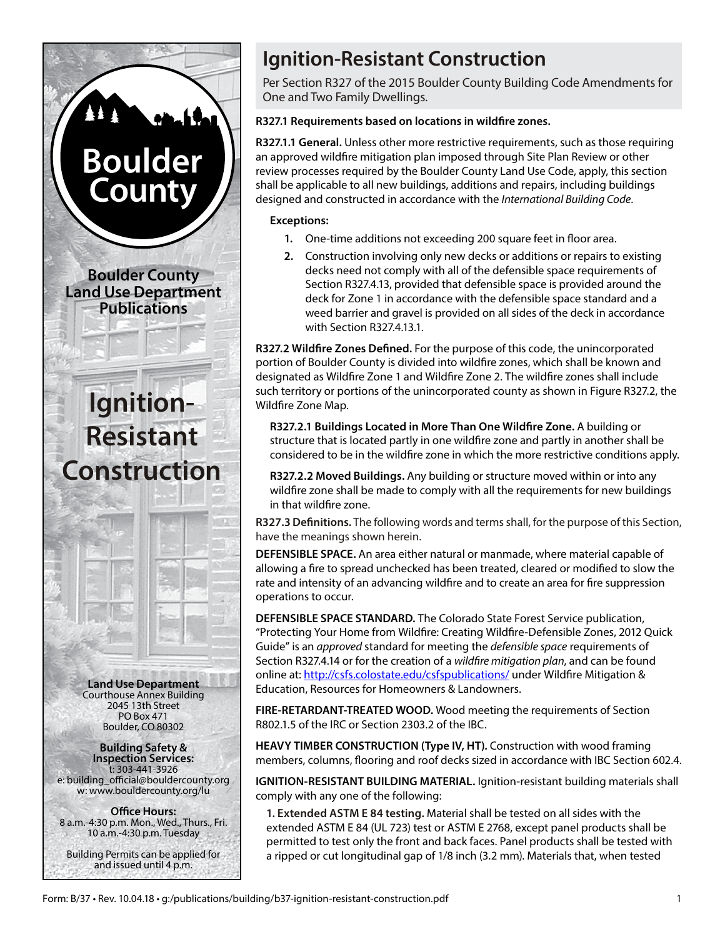

**Building Safety & Inspection Services:** t: 303-441-3926 e: building\_official@bouldercounty.org w: www.bouldercounty.org/lu

**Office Hours:** 8 a.m.-4:30 p.m. Mon., Wed., Thurs., Fri. 10 a.m.-4:30 p.m. Tuesday

Building Permits can be applied for and issued until 4 p.m.

# **Ignition-Resistant Construction**

Per Section R327 of the 2015 Boulder County Building Code Amendments for One and Two Family Dwellings.

# **R327.1 Requirements based on locations in wildfire zones.**

**R327.1.1 General.** Unless other more restrictive requirements, such as those requiring an approved wildfire mitigation plan imposed through Site Plan Review or other review processes required by the Boulder County Land Use Code, apply, this section shall be applicable to all new buildings, additions and repairs, including buildings designed and constructed in accordance with the *International Building Code*.

## **Exceptions:**

- **1.** One-time additions not exceeding 200 square feet in floor area.
- **2.** Construction involving only new decks or additions or repairs to existing decks need not comply with all of the defensible space requirements of Section R327.4.13, provided that defensible space is provided around the deck for Zone 1 in accordance with the defensible space standard and a weed barrier and gravel is provided on all sides of the deck in accordance with Section R327.4.13.1.

**R327.2 Wildfire Zones Defined.** For the purpose of this code, the unincorporated portion of Boulder County is divided into wildfire zones, which shall be known and designated as Wildfire Zone 1 and Wildfire Zone 2. The wildfire zones shall include such territory or portions of the unincorporated county as shown in Figure R327.2, the Wildfire Zone Map.

**R327.2.1 Buildings Located in More Than One Wildfire Zone.** A building or structure that is located partly in one wildfire zone and partly in another shall be considered to be in the wildfire zone in which the more restrictive conditions apply.

**R327.2.2 Moved Buildings.** Any building or structure moved within or into any wildfire zone shall be made to comply with all the requirements for new buildings in that wildfire zone.

**R327.3 Definitions.** The following words and terms shall, for the purpose of this Section, have the meanings shown herein.

**DEFENSIBLE SPACE.** An area either natural or manmade, where material capable of allowing a fire to spread unchecked has been treated, cleared or modified to slow the rate and intensity of an advancing wildfire and to create an area for fire suppression operations to occur.

**DEFENSIBLE SPACE STANDARD.** The Colorado State Forest Service publication, "Protecting Your Home from Wildfire: Creating Wildfire-Defensible Zones, 2012 Quick Guide" is an *approved* standard for meeting the *defensible space* requirements of Section R327.4.14 or for the creation of a *wildfire mitigation plan*, and can be found online at: <http://csfs.colostate.edu/csfspublications/> under Wildfire Mitigation & Education, Resources for Homeowners & Landowners.

**FIRE-RETARDANT-TREATED WOOD.** Wood meeting the requirements of Section R802.1.5 of the IRC or Section 2303.2 of the IBC.

**HEAVY TIMBER CONSTRUCTION (Type IV, HT).** Construction with wood framing members, columns, flooring and roof decks sized in accordance with IBC Section 602.4.

**IGNITION-RESISTANT BUILDING MATERIAL.** Ignition-resistant building materials shall comply with any one of the following:

**1. Extended ASTM E 84 testing.** Material shall be tested on all sides with the extended ASTM E 84 (UL 723) test or ASTM E 2768, except panel products shall be permitted to test only the front and back faces. Panel products shall be tested with a ripped or cut longitudinal gap of 1/8 inch (3.2 mm). Materials that, when tested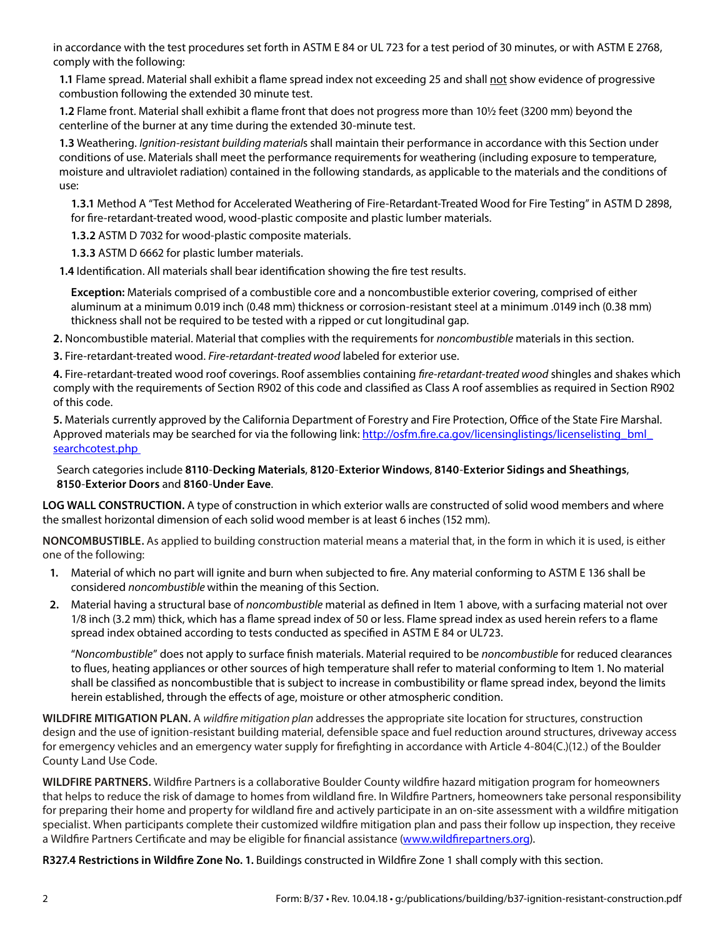in accordance with the test procedures set forth in ASTM E 84 or UL 723 for a test period of 30 minutes, or with ASTM E 2768, comply with the following:

**1.1** Flame spread. Material shall exhibit a flame spread index not exceeding 25 and shall not show evidence of progressive combustion following the extended 30 minute test.

**1.2** Flame front. Material shall exhibit a flame front that does not progress more than 10½ feet (3200 mm) beyond the centerline of the burner at any time during the extended 30-minute test.

**1.3** Weathering. *Ignition-resistant building material*s shall maintain their performance in accordance with this Section under conditions of use. Materials shall meet the performance requirements for weathering (including exposure to temperature, moisture and ultraviolet radiation) contained in the following standards, as applicable to the materials and the conditions of use:

**1.3.1** Method A "Test Method for Accelerated Weathering of Fire-Retardant-Treated Wood for Fire Testing" in ASTM D 2898, for fire-retardant-treated wood, wood-plastic composite and plastic lumber materials.

**1.3.2** ASTM D 7032 for wood-plastic composite materials.

**1.3.3** ASTM D 6662 for plastic lumber materials.

**1.4** Identification. All materials shall bear identification showing the fire test results.

**Exception:** Materials comprised of a combustible core and a noncombustible exterior covering, comprised of either aluminum at a minimum 0.019 inch (0.48 mm) thickness or corrosion-resistant steel at a minimum .0149 inch (0.38 mm) thickness shall not be required to be tested with a ripped or cut longitudinal gap.

**2.** Noncombustible material. Material that complies with the requirements for *noncombustible* materials in this section.

**3.** Fire-retardant-treated wood. *Fire-retardant-treated wood* labeled for exterior use.

**4.** Fire-retardant-treated wood roof coverings. Roof assemblies containing *fire-retardant-treated wood* shingles and shakes which comply with the requirements of Section R902 of this code and classified as Class A roof assemblies as required in Section R902 of this code.

**5.** Materials currently approved by the California Department of Forestry and Fire Protection, Office of the State Fire Marshal. Approved materials may be searched for via the following link: http://osfm.fire.ca.gov/licensinglistings/licenselisting\_bml [searchcotest.php](http://osfm.fire.ca.gov/licensinglistings/licenselisting_bml_searchcotest.php)

Search categories include **8110**-**Decking Materials**, **8120**-**Exterior Windows**, **8140**-**Exterior Sidings and Sheathings**, **8150**-**Exterior Doors** and **8160**-**Under Eave**.

**LOG WALL CONSTRUCTION.** A type of construction in which exterior walls are constructed of solid wood members and where the smallest horizontal dimension of each solid wood member is at least 6 inches (152 mm).

**NONCOMBUSTIBLE.** As applied to building construction material means a material that, in the form in which it is used, is either one of the following:

- **1.** Material of which no part will ignite and burn when subjected to fire. Any material conforming to ASTM E 136 shall be considered *noncombustible* within the meaning of this Section.
- **2.** Material having a structural base of *noncombustible* material as defined in Item 1 above, with a surfacing material not over 1/8 inch (3.2 mm) thick, which has a flame spread index of 50 or less. Flame spread index as used herein refers to a flame spread index obtained according to tests conducted as specified in ASTM E 84 or UL723.

"*Noncombustible*" does not apply to surface finish materials. Material required to be *noncombustible* for reduced clearances to flues, heating appliances or other sources of high temperature shall refer to material conforming to Item 1. No material shall be classified as noncombustible that is subject to increase in combustibility or flame spread index, beyond the limits herein established, through the effects of age, moisture or other atmospheric condition.

**WILDFIRE MITIGATION PLAN.** A *wildfire mitigation plan* addresses the appropriate site location for structures, construction design and the use of ignition-resistant building material, defensible space and fuel reduction around structures, driveway access for emergency vehicles and an emergency water supply for firefighting in accordance with Article 4-804(C.)(12.) of the Boulder County Land Use Code.

**WILDFIRE PARTNERS.** Wildfire Partners is a collaborative Boulder County wildfire hazard mitigation program for homeowners that helps to reduce the risk of damage to homes from wildland fire. In Wildfire Partners, homeowners take personal responsibility for preparing their home and property for wildland fire and actively participate in an on-site assessment with a wildfire mitigation specialist. When participants complete their customized wildfire mitigation plan and pass their follow up inspection, they receive a Wildfire Partners Certificate and may be eligible for financial assistance [\(www.wildfirepartners.org](http://www.wildfirepartners.org/)).

**R327.4 Restrictions in Wildfire Zone No. 1.** Buildings constructed in Wildfire Zone 1 shall comply with this section.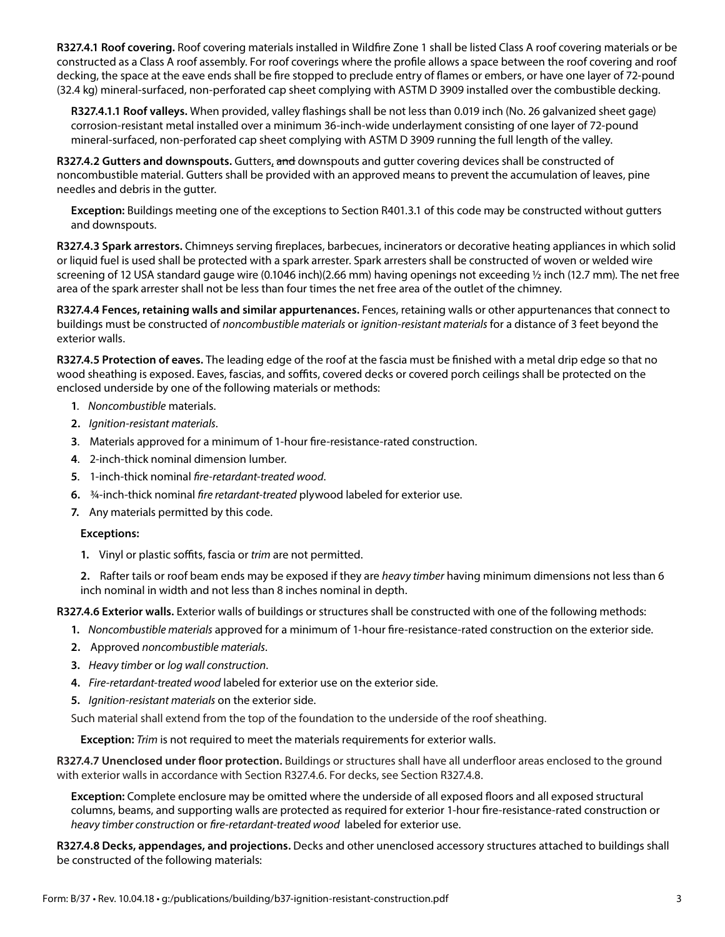**R327.4.1 Roof covering.** Roof covering materials installed in Wildfire Zone 1 shall be listed Class A roof covering materials or be constructed as a Class A roof assembly. For roof coverings where the profile allows a space between the roof covering and roof decking, the space at the eave ends shall be fire stopped to preclude entry of flames or embers, or have one layer of 72-pound (32.4 kg) mineral-surfaced, non-perforated cap sheet complying with ASTM D 3909 installed over the combustible decking.

**R327.4.1.1 Roof valleys.** When provided, valley flashings shall be not less than 0.019 inch (No. 26 galvanized sheet gage) corrosion-resistant metal installed over a minimum 36-inch-wide underlayment consisting of one layer of 72-pound mineral-surfaced, non-perforated cap sheet complying with ASTM D 3909 running the full length of the valley.

**R327.4.2 Gutters and downspouts.** Gutters, and downspouts and gutter covering devices shall be constructed of noncombustible material. Gutters shall be provided with an approved means to prevent the accumulation of leaves, pine needles and debris in the gutter.

**Exception:** Buildings meeting one of the exceptions to Section R401.3.1 of this code may be constructed without gutters and downspouts.

**R327.4.3 Spark arrestors.** Chimneys serving fireplaces, barbecues, incinerators or decorative heating appliances in which solid or liquid fuel is used shall be protected with a spark arrester. Spark arresters shall be constructed of woven or welded wire screening of 12 USA standard gauge wire (0.1046 inch)(2.66 mm) having openings not exceeding ½ inch (12.7 mm). The net free area of the spark arrester shall not be less than four times the net free area of the outlet of the chimney.

**R327.4.4 Fences, retaining walls and similar appurtenances.** Fences, retaining walls or other appurtenances that connect to buildings must be constructed of *noncombustible materials* or *ignition-resistant materials* for a distance of 3 feet beyond the exterior walls.

**R327.4.5 Protection of eaves.** The leading edge of the roof at the fascia must be finished with a metal drip edge so that no wood sheathing is exposed. Eaves, fascias, and soffits, covered decks or covered porch ceilings shall be protected on the enclosed underside by one of the following materials or methods:

- **1***. Noncombustible* materials.
- **2.** *Ignition-resistant materials*.
- **3**. Materials approved for a minimum of 1-hour fire-resistance-rated construction.
- **4**. 2-inch-thick nominal dimension lumber.
- **5**. 1-inch-thick nominal *fire-retardant-treated wood*.
- **6.** ¾-inch-thick nominal *fire retardant-treated* plywood labeled for exterior use.
- **7.** Any materials permitted by this code.

## **Exceptions:**

**1.** Vinyl or plastic soffits, fascia or *trim* are not permitted.

**2.** Rafter tails or roof beam ends may be exposed if they are *heavy timber* having minimum dimensions not less than 6 inch nominal in width and not less than 8 inches nominal in depth.

**R327.4.6 Exterior walls.** Exterior walls of buildings or structures shall be constructed with one of the following methods:

- **1.** *Noncombustible materials* approved for a minimum of 1-hour fire-resistance-rated construction on the exterior side.
- **2.** Approved *noncombustible materials*.
- **3.** *Heavy timber* or *log wall construction*.
- **4.** *Fire-retardant-treated wood* labeled for exterior use on the exterior side.
- **5.** *Ignition-resistant materials* on the exterior side.

Such material shall extend from the top of the foundation to the underside of the roof sheathing.

**Exception:** *Trim* is not required to meet the materials requirements for exterior walls.

**R327.4.7 Unenclosed under floor protection.** Buildings or structures shall have all underfloor areas enclosed to the ground with exterior walls in accordance with Section R327.4.6. For decks, see Section R327.4.8.

**Exception:** Complete enclosure may be omitted where the underside of all exposed floors and all exposed structural columns, beams, and supporting walls are protected as required for exterior 1-hour fire-resistance-rated construction or *heavy timber construction* or *fire-retardant-treated wood* labeled for exterior use.

**R327.4.8 Decks, appendages, and projections.** Decks and other unenclosed accessory structures attached to buildings shall be constructed of the following materials: